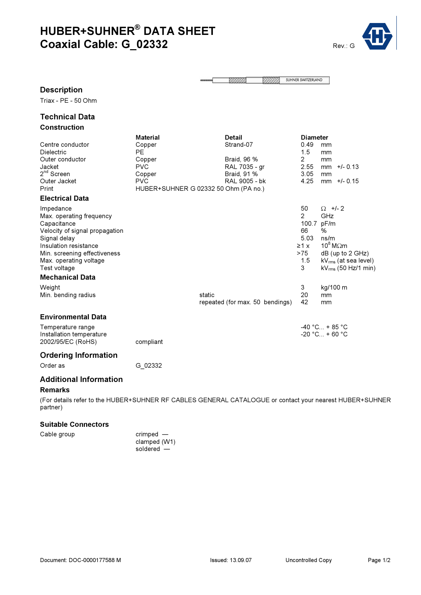# HUBER+SUHNER® DATA SHEET Coaxial Cable: G\_02332 Rev.: G\_02332



SUHNER SWITZERLAND 55555 **XXXXX** 

#### Description

Triax - PE - 50 Ohm

## Technical Data Construction

| Centre conductor<br><b>Dielectric</b><br>Outer conductor<br>Jacket<br>$2nd$ Screen<br>Outer Jacket<br>Print<br><b>Electrical Data</b>                                                                     | <b>Material</b><br>Copper<br><b>PE</b><br>Copper<br><b>PVC</b><br>Copper<br><b>PVC</b><br>HUBER+SUHNER G 02332 50 Ohm (PA no.) |        | <b>Detail</b><br>Strand-07<br>Braid, 96 %<br>RAL 7035 - gr<br>Braid, 91 %<br>RAL 9005 - bk | <b>Diameter</b><br>0.49<br>1.5<br>$\overline{2}$<br>2.55<br>3.05<br>4.25 | mm<br>mm<br>mm<br>$+/- 0.13$<br>mm<br>mm<br>$+/- 0.15$<br>mm                                                                                     |
|-----------------------------------------------------------------------------------------------------------------------------------------------------------------------------------------------------------|--------------------------------------------------------------------------------------------------------------------------------|--------|--------------------------------------------------------------------------------------------|--------------------------------------------------------------------------|--------------------------------------------------------------------------------------------------------------------------------------------------|
| Impedance<br>Max. operating frequency<br>Capacitance<br>Velocity of signal propagation<br>Signal delay<br>Insulation resistance<br>Min. screening effectiveness<br>Max. operating voltage<br>Test voltage |                                                                                                                                |        |                                                                                            | 50<br>2<br>100.7<br>66<br>5.03<br>$\geq 1 \times$<br>>75<br>1.5<br>3     | $\Omega$ +/- 2<br>GHz<br>pF/m<br>%<br>ns/m<br>$10^8$ M $\Omega$ m<br>$dB$ (up to 2 GHz)<br>$kV_{rms}$ (at sea level)<br>$kV_{rms}$ (50 Hz/1 min) |
| <b>Mechanical Data</b><br>Weight<br>Min. bending radius<br><b>Environmental Data</b>                                                                                                                      |                                                                                                                                | static | repeated (for max. 50 bendings)                                                            | 3<br>20<br>42                                                            | kg/100 m<br>mm<br>mm                                                                                                                             |
| Temperature range<br>Installation temperature<br>2002/95/EC (RoHS)                                                                                                                                        | compliant                                                                                                                      |        |                                                                                            |                                                                          | $-40 °C_{} + 85 °C$<br>$-20 °C + 60 °C$                                                                                                          |
| <b>Ordering Information</b><br>Order as                                                                                                                                                                   | G 02332                                                                                                                        |        |                                                                                            |                                                                          |                                                                                                                                                  |

## Additional Information

#### Remarks

(For details refer to the HUBER+SUHNER RF CABLES GENERAL CATALOGUE or contact your nearest HUBER+SUHNER partner)

### Suitable Connectors

Cable group crimped clamped (W1) soldered —